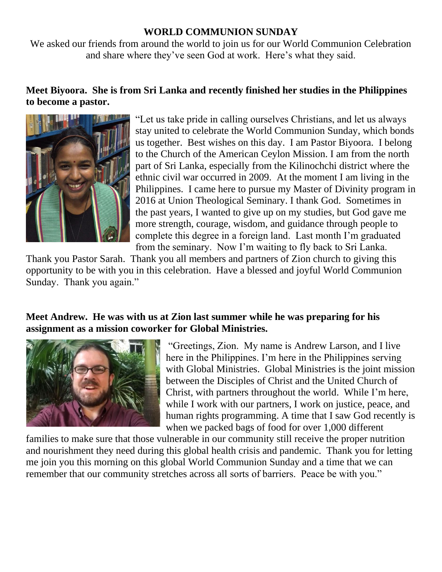## **WORLD COMMUNION SUNDAY**

We asked our friends from around the world to join us for our World Communion Celebration and share where they've seen God at work. Here's what they said.

## **Meet Biyoora. She is from Sri Lanka and recently finished her studies in the Philippines to become a pastor.**



"Let us take pride in calling ourselves Christians, and let us always stay united to celebrate the World Communion Sunday, which bonds us together. Best wishes on this day. I am Pastor Biyoora. I belong to the Church of the American Ceylon Mission. I am from the north part of Sri Lanka, especially from the Kilinochchi district where the ethnic civil war occurred in 2009. At the moment I am living in the Philippines. I came here to pursue my Master of Divinity program in 2016 at Union Theological Seminary. I thank God. Sometimes in the past years, I wanted to give up on my studies, but God gave me more strength, courage, wisdom, and guidance through people to complete this degree in a foreign land. Last month I'm graduated from the seminary. Now I'm waiting to fly back to Sri Lanka.

Thank you Pastor Sarah. Thank you all members and partners of Zion church to giving this opportunity to be with you in this celebration. Have a blessed and joyful World Communion Sunday. Thank you again."

## **Meet Andrew. He was with us at Zion last summer while he was preparing for his assignment as a mission coworker for Global Ministries.**



"Greetings, Zion. My name is Andrew Larson, and I live here in the Philippines. I'm here in the Philippines serving with Global Ministries. Global Ministries is the joint mission between the Disciples of Christ and the United Church of Christ, with partners throughout the world. While I'm here, while I work with our partners, I work on justice, peace, and human rights programming. A time that I saw God recently is when we packed bags of food for over 1,000 different

families to make sure that those vulnerable in our community still receive the proper nutrition and nourishment they need during this global health crisis and pandemic. Thank you for letting me join you this morning on this global World Communion Sunday and a time that we can remember that our community stretches across all sorts of barriers. Peace be with you."